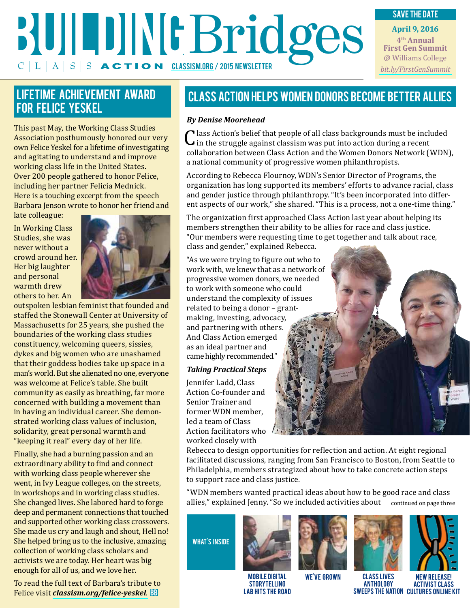# **Bridges** April 9, 2016  $C|L|A|S|S$  **A C T I O N** CLASSISM.ORG / 2015 NEWSLETTER

### save the date

**4th Annual First Gen Summit** @ Williams College *[bit.ly/FirstGenSummit](http://www.classism.org/programs/1st-generation-college-student-summit/)*

# for Felice Yeskel

This past May, the Working Class Studies Association posthumously honored our very own Felice Yeskel for a lifetime of investigating and agitating to understand and improve working class life in the United States. Over 200 people gathered to honor Felice, including her partner Felicia Mednick. Here is a touching excerpt from the speech Barbara Jenson wrote to honor her friend and

late colleague:

In Working Class Studies, she was never without a crowd around her. Her big laughter and personal warmth drew others to her. An



outspoken lesbian feminist that founded and staffed the Stonewall Center at University of Massachusetts for 25 years, she pushed the boundaries of the working class studies constituency, welcoming queers, sissies, dykes and big women who are unashamed that their goddess bodies take up space in a man's world. But she alienated no one, everyone was welcome at Felice's table. She built community as easily as breathing, far more concerned with building a movement than in having an individual career. She demonstrated working class values of inclusion, solidarity, great personal warmth and "keeping it real" every day of her life.

Finally, she had a burning passion and an extraordinary ability to find and connect with working class people wherever she went, in Ivy League colleges, on the streets, in workshops and in working class studies. She changed lives. She labored hard to forge deep and permanent connections that touched and supported other working class crossovers. She made us cry and laugh and shout, Hell no! She helped bring us to the inclusive, amazing collection of working class scholars and activists we are today. Her heart was big enough for all of us, and we love her.

To read the full text of Barbara's tribute to Felice visit *[classism.org/felice-yeskel](www.classism.org/felice-yeskel)*. BB

# LIFETIME ACHIEVEMENT AWARD CLASS ACTION HELPS WOMEN DONORS BECOME BETTER ALLIES

### *By Denise Moorehead*

lass Action's belief that people of all class backgrounds must be included in the struggle against classism was put into action during a recent Chass Action's benefit that people of an class backgrounds must be included<br>in the struggle against classism was put into action during a recent<br>collaboration between Class Action and the Women Donors Network (WDN), a national community of progressive women philanthropists.

According to Rebecca Flournoy, WDN's Senior Director of Programs, the organization has long supported its members' efforts to advance racial, class and gender justice through philanthropy. "It's been incorporated into different aspects of our work," she shared. "This is a process, not a one-time thing."

The organization first approached Class Action last year about helping its members strengthen their ability to be allies for race and class justice. "Our members were requesting time to get together and talk about race, class and gender," explained Rebecca.

"As we were trying to figure out who to work with, we knew that as a network of progressive women donors, we needed to work with someone who could understand the complexity of issues related to being a donor – grantmaking, investing, advocacy, and partnering with others. And Class Action emerged as an ideal partner and came highly recommended."

### *Taking Practical Steps*

Jennifer Ladd, Class Action Co-founder and Senior Trainer and former WDN member, led a team of Class Action facilitators who worked closely with



Rebecca to design opportunities for reflection and action. At eight regional facilitated discussions, ranging from San Francisco to Boston, from Seattle to Philadelphia, members strategized about how to take concrete action steps to support race and class justice.

"WDN members wanted practical ideas about how to be good race and class allies," explained Jenny. "So we included activities about continued on page three

WHAT'S INSIDE



Mobile Digital **STORYTELLING** Lab Hits the Road







We've Grown Class Lives **ANTHOLOGY** Sweeps the Nation Cultures On line Kit Activist Class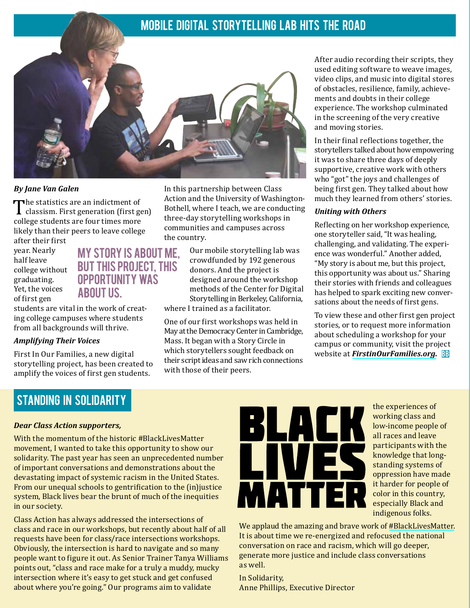



#### *By Jane Van Galen*

The statistics are an indictment of The statistics are an indictment of<br>
classism. First generation (first gen)<br>
college students are four times more college students are four times more likely than their peers to leave college after their first

year. Nearly half leave college without graduating. Yet, the voices of first gen

### My story is about me, but this project, this opportunity was **ABOUT US.**

students are vital in the work of creating college campuses where students from all backgrounds will thrive.

### *Amplifying Their Voices*

First In Our Families, a new digital storytelling project, has been created to amplify the voices of first gen students.

In this partnership between Class Action and the University of Washington-Bothell, where I teach, we are conducting three-day storytelling workshops in communities and campuses across the country.

Our mobile storytelling lab was crowdfunded by 192 generous donors. And the project is designed around the workshop methods of the Center for Digital Storytelling in Berkeley, California,

where I trained as a facilitator.

One of our first workshops was held in May at the Democracy Center in Cambridge, Mass. It began with a Story Circle in which storytellers sought feedback on their script ideas and saw rich connections with those of their peers.

After audio recording their scripts, they used editing software to weave images, video clips, and music into digital stores of obstacles, resilience, family, achievements and doubts in their college experience. The workshop culminated in the screening of the very creative and moving stories.

In their final reflections together, the storytellers talked about how empowering it was to share three days of deeply supportive, creative work with others who "got" the joys and challenges of being first gen. They talked about how much they learned from others' stories.

### *Uniting with Others*

Reflecting on her workshop experience, one storyteller said, "It was healing, challenging, and validating. The experience was wonderful." Another added, "My story is about me, but this project, this opportunity was about us." Sharing their stories with friends and colleagues has helped to spark exciting new conversations about the needs of first gens.

To view these and other first gen project stories, or to request more information about scheduling a workshop for your campus or community, visit the project website at *[FirstinOurFamilies.org.](www.FirstinOurFamilies.org)* BB

# Standing In Solidarity

### *Dear Class Action supporters,*

With the momentum of the historic #BlackLivesMatter movement, I wanted to take this opportunity to show our solidarity. The past year has seen an unprecedented number of important conversations and demonstrations about the devastating impact of systemic racism in the United States. From our unequal schools to gentrification to the (in)justice system, Black lives bear the brunt of much of the inequities in our society.

Class Action has always addressed the intersections of class and race in our workshops, but recently about half of all requests have been for class/race intersections workshops. Obviously, the intersection is hard to navigate and so many people want to figure it out. As Senior Trainer Tanya Williams points out, "class and race make for a truly a muddy, mucky intersection where it's easy to get stuck and get confused about where you're going." Our programs aim to validate



the experiences of working class and low-income people of all races and leave participants with the knowledge that longstanding systems of oppression have made it harder for people of color in this country, especially Black and indigenous folks.

We applaud the amazing and brave work of [#BlackLivesMatter.](https://twitter.com/hashtag/blacklivesmatter) It is about time we re-energized and refocused the national conversation on race and racism, which will go deeper, generate more justice and include class conversations as well.

In Solidarity, Anne Phillips, Executive Director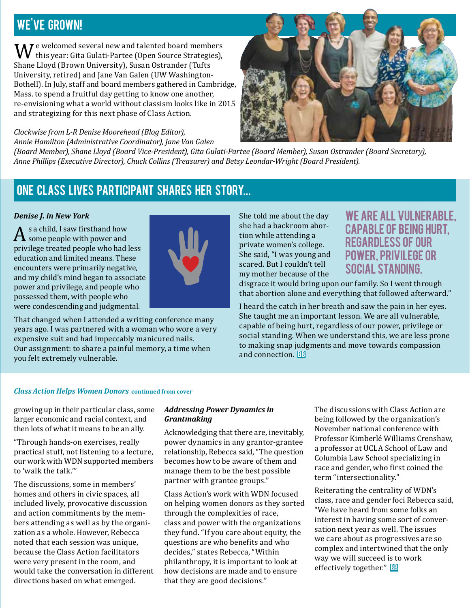# We've Grown!

 $\mathbf{W}$ e welcomed several new and talented board members<br>Shane Llovd (Brown University). Susan Ostrander (Tufts), this year: Gita Gulati-Partee (Open Source Strategies), Shane Lloyd (Brown University), Susan Ostrander (Tufts University, retired) and Jane Van Galen (UW Washington-Bothell). In July, staff and board members gathered in Cambridge, Mass. to spend a fruitful day getting to know one another, re-envisioning what a world without classism looks like in 2015 and strategizing for this next phase of Class Action.

*Clockwise from L-R Denise Moorehead (Blog Editor), Annie Hamilton (Administrative Coordinator), Jane Van Galen* 

*(Board Member), Shane Lloyd (Board Vice-President), Gita Gulati-Partee (Board Member), Susan Ostrander (Board Secretary), Anne Phillips (Executive Director), Chuck Collins (Treasurer) and Betsy Leondar-Wright (Board President).*

## One Class Lives Participant Shares her Story...

### *Denise J. in New York*

s a child, I saw firsthand how  $A_{\text{some people with power and} \text{private free tree}}$ privilege treated people who had less education and limited means. These encounters were primarily negative, and my child's mind began to associate power and privilege, and people who possessed them, with people who were condescending and judgmental.

That changed when I attended a writing conference many years ago. I was partnered with a woman who wore a very expensive suit and had impeccably manicured nails. Our assignment: to share a painful memory, a time when you felt extremely vulnerable.

She told me about the day she had a backroom abortion while attending a private women's college. She said, "I was young and scared. But I couldn't tell my mother because of the

### We are all vulnerable, capable of being hurt, regardless of our power, privilege or social standing.

disgrace it would bring upon our family. So I went through that abortion alone and everything that followed afterward."

I heard the catch in her breath and saw the pain in her eyes. She taught me an important lesson. We are all vulnerable, capable of being hurt, regardless of our power, privilege or social standing. When we understand this, we are less prone to making snap judgments and move towards compassion and connection. <mark>BB</mark>

#### *Class Action Helps Women Donors* **continued from cover**

growing up in their particular class, some larger economic and racial context, and then lots of what it means to be an ally.

"Through hands-on exercises, really practical stuff, not listening to a lecture, our work with WDN supported members to 'walk the talk.'"

The discussions, some in members' homes and others in civic spaces, all included lively, provocative discussion and action commitments by the members attending as well as by the organization as a whole. However, Rebecca noted that each session was unique, because the Class Action facilitators were very present in the room, and would take the conversation in different directions based on what emerged.

### *Addressing Power Dynamics in Grantmaking*

Acknowledging that there are, inevitably, power dynamics in any grantor-grantee relationship, Rebecca said, "The question becomes how to be aware of them and manage them to be the best possible partner with grantee groups."

Class Action's work with WDN focused on helping women donors as they sorted through the complexities of race, class and power with the organizations they fund. "If you care about equity, the questions are who benefits and who decides," states Rebecca, "Within philanthropy, it is important to look at how decisions are made and to ensure that they are good decisions."

The discussions with Class Action are being followed by the organization's November national conference with Professor Kimberlé Williams Crenshaw, a professor at UCLA School of Law and Columbia Law School specializing in race and gender, who first coined the term "intersectionality."

Reiterating the centrality of WDN's class, race and gender foci Rebecca said, "We have heard from some folks an interest in having some sort of conversation next year as well. The issues we care about as progressives are so complex and intertwined that the only way we will succeed is to work effectively together." <mark>BB</mark>